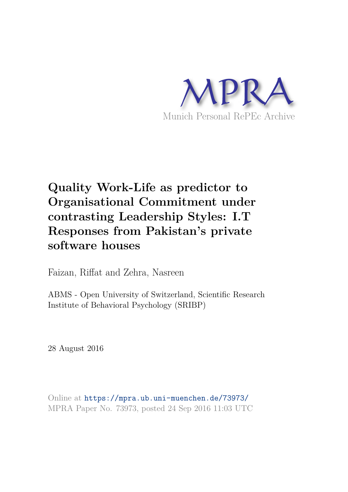

# **Quality Work-Life as predictor to Organisational Commitment under contrasting Leadership Styles: I.T Responses from Pakistan's private software houses**

Faizan, Riffat and Zehra, Nasreen

ABMS - Open University of Switzerland, Scientific Research Institute of Behavioral Psychology (SRIBP)

28 August 2016

Online at https://mpra.ub.uni-muenchen.de/73973/ MPRA Paper No. 73973, posted 24 Sep 2016 11:03 UTC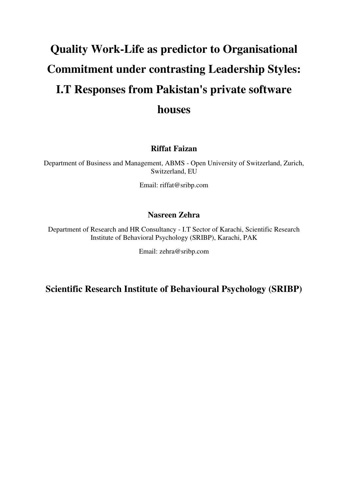# **Quality Work-Life as predictor to Organisational Commitment under contrasting Leadership Styles: I.T Responses from Pakistan's private software houses**

# **Riffat Faizan**

Department of Business and Management, ABMS - Open University of Switzerland, Zurich, Switzerland, EU

Email: riffat@sribp.com

# **Nasreen Zehra**

Department of Research and HR Consultancy - I.T Sector of Karachi, Scientific Research Institute of Behavioral Psychology (SRIBP), Karachi, PAK

Email: zehra@sribp.com

**Scientific Research Institute of Behavioural Psychology (SRIBP)**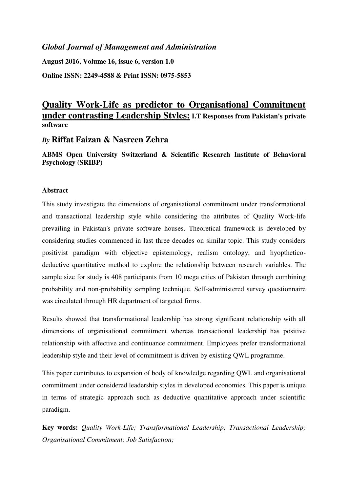# *Global Journal of Management and Administration*

**August 2016, Volume 16, issue 6, version 1.0** 

**Online ISSN: 2249-4588 & Print ISSN: 0975-5853** 

# **Quality Work-Life as predictor to Organisational Commitment under contrasting Leadership Styles: I.T Responses from Pakistan's private software**

# *By* **Riffat Faizan & Nasreen Zehra**

**ABMS Open University Switzerland & Scientific Research Institute of Behavioral Psychology (SRIBP)** 

# **Abstract**

This study investigate the dimensions of organisational commitment under transformational and transactional leadership style while considering the attributes of Quality Work-life prevailing in Pakistan's private software houses. Theoretical framework is developed by considering studies commenced in last three decades on similar topic. This study considers positivist paradigm with objective epistemology, realism ontology, and hyoptheticodeductive quantitative method to explore the relationship between research variables. The sample size for study is 408 participants from 10 mega cities of Pakistan through combining probability and non-probability sampling technique. Self-administered survey questionnaire was circulated through HR department of targeted firms.

Results showed that transformational leadership has strong significant relationship with all dimensions of organisational commitment whereas transactional leadership has positive relationship with affective and continuance commitment. Employees prefer transformational leadership style and their level of commitment is driven by existing QWL programme.

This paper contributes to expansion of body of knowledge regarding QWL and organisational commitment under considered leadership styles in developed economies. This paper is unique in terms of strategic approach such as deductive quantitative approach under scientific paradigm.

**Key words:** *Quality Work-Life; Transformational Leadership; Transactional Leadership; Organisational Commitment; Job Satisfaction;*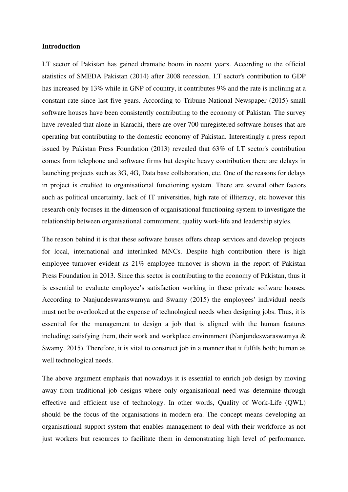# **Introduction**

I.T sector of Pakistan has gained dramatic boom in recent years. According to the official statistics of SMEDA Pakistan (2014) after 2008 recession, I.T sector's contribution to GDP has increased by 13% while in GNP of country, it contributes 9% and the rate is inclining at a constant rate since last five years. According to Tribune National Newspaper (2015) small software houses have been consistently contributing to the economy of Pakistan. The survey have revealed that alone in Karachi, there are over 700 unregistered software houses that are operating but contributing to the domestic economy of Pakistan. Interestingly a press report issued by Pakistan Press Foundation (2013) revealed that 63% of I.T sector's contribution comes from telephone and software firms but despite heavy contribution there are delays in launching projects such as 3G, 4G, Data base collaboration, etc. One of the reasons for delays in project is credited to organisational functioning system. There are several other factors such as political uncertainty, lack of IT universities, high rate of illiteracy, etc however this research only focuses in the dimension of organisational functioning system to investigate the relationship between organisational commitment, quality work-life and leadership styles.

The reason behind it is that these software houses offers cheap services and develop projects for local, international and interlinked MNCs. Despite high contribution there is high employee turnover evident as 21% employee turnover is shown in the report of Pakistan Press Foundation in 2013. Since this sector is contributing to the economy of Pakistan, thus it is essential to evaluate employee's satisfaction working in these private software houses. According to Nanjundeswaraswamya and Swamy (2015) the employees' individual needs must not be overlooked at the expense of technological needs when designing jobs. Thus, it is essential for the management to design a job that is aligned with the human features including; satisfying them, their work and workplace environment (Nanjundeswaraswamya & Swamy, 2015). Therefore, it is vital to construct job in a manner that it fulfils both; human as well technological needs.

The above argument emphasis that nowadays it is essential to enrich job design by moving away from traditional job designs where only organisational need was determine through effective and efficient use of technology. In other words, Quality of Work-Life (QWL) should be the focus of the organisations in modern era. The concept means developing an organisational support system that enables management to deal with their workforce as not just workers but resources to facilitate them in demonstrating high level of performance.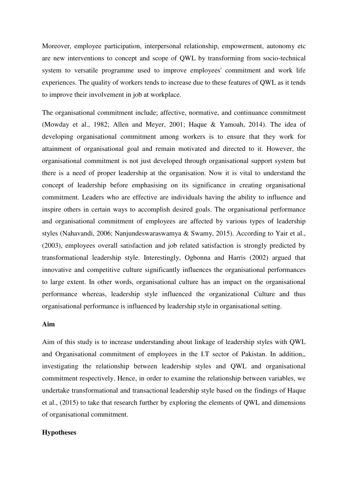Moreover, employee participation, interpersonal relationship, empowerment, autonomy etc are new interventions to concept and scope of QWL by transforming from socio-technical system to versatile programme used to improve employees' commitment and work life experiences. The quality of workers tends to increase due to these features of QWL as it tends to improve their involvement in job at workplace.

The organisational commitment include; affective, normative, and continuance commitment (Mowday et al., 1982; Allen and Meyer, 2001; Haque & Yamoah, 2014). The idea of developing organisational commitment among workers is to ensure that they work for attainment of organisational goal and remain motivated and directed to it. However, the organisational commitment is not just developed through organisational support system but there is a need of proper leadership at the organisation. Now it is vital to understand the concept of leadership before emphasising on its significance in creating organisational commitment. Leaders who are effective are individuals having the ability to influence and inspire others in certain ways to accomplish desired goals. The organisational performance and organisational commitment of employees are affected by various types of leadership styles (Nahavandi, 2006; Nanjundeswaraswamya & Swamy, 2015). According to Yair et al., (2003), employees overall satisfaction and job related satisfaction is strongly predicted by transformational leadership style. Interestingly, Ogbonna and Harris (2002) argued that innovative and competitive culture significantly influences the organisational performances to large extent. In other words, organisational culture has an impact on the organisational performance whereas, leadership style influenced the organizational Culture and thus organisational performance is influenced by leadership style in organisational setting.

# **Aim**

Aim of this study is to increase understanding about linkage of leadership styles with QWL and Organisational commitment of employees in the I.T sector of Pakistan. In addition,, investigating the relationship between leadership styles and QWL and organisational commitment respectively. Hence, in order to examine the relationship between variables, we undertake transformational and transactional leadership style based on the findings of Haque et al., (2015) to take that research further by exploring the elements of QWL and dimensions of organisational commitment.

# **Hypotheses**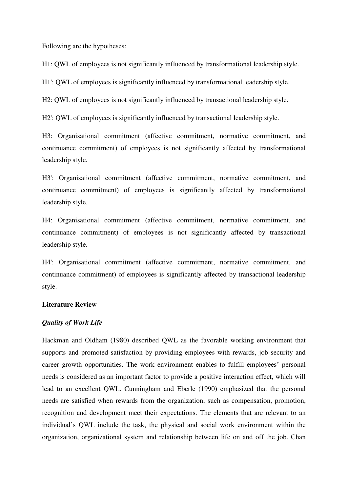Following are the hypotheses:

H1: QWL of employees is not significantly influenced by transformational leadership style.

H1': QWL of employees is significantly influenced by transformational leadership style.

H2: QWL of employees is not significantly influenced by transactional leadership style.

H2': QWL of employees is significantly influenced by transactional leadership style.

H3: Organisational commitment (affective commitment, normative commitment, and continuance commitment) of employees is not significantly affected by transformational leadership style.

H3': Organisational commitment (affective commitment, normative commitment, and continuance commitment) of employees is significantly affected by transformational leadership style.

H4: Organisational commitment (affective commitment, normative commitment, and continuance commitment) of employees is not significantly affected by transactional leadership style.

H4': Organisational commitment (affective commitment, normative commitment, and continuance commitment) of employees is significantly affected by transactional leadership style.

# **Literature Review**

#### *Quality of Work Life*

Hackman and Oldham (1980) described QWL as the favorable working environment that supports and promoted satisfaction by providing employees with rewards, job security and career growth opportunities. The work environment enables to fulfill employees' personal needs is considered as an important factor to provide a positive interaction effect, which will lead to an excellent QWL. Cunningham and Eberle (1990) emphasized that the personal needs are satisfied when rewards from the organization, such as compensation, promotion, recognition and development meet their expectations. The elements that are relevant to an individual's QWL include the task, the physical and social work environment within the organization, organizational system and relationship between life on and off the job. Chan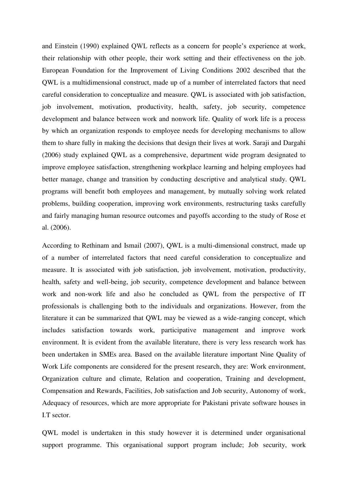and Einstein (1990) explained QWL reflects as a concern for people's experience at work, their relationship with other people, their work setting and their effectiveness on the job. European Foundation for the Improvement of Living Conditions 2002 described that the QWL is a multidimensional construct, made up of a number of interrelated factors that need careful consideration to conceptualize and measure. QWL is associated with job satisfaction, job involvement, motivation, productivity, health, safety, job security, competence development and balance between work and nonwork life. Quality of work life is a process by which an organization responds to employee needs for developing mechanisms to allow them to share fully in making the decisions that design their lives at work. Saraji and Dargahi (2006) study explained QWL as a comprehensive, department wide program designated to improve employee satisfaction, strengthening workplace learning and helping employees had better manage, change and transition by conducting descriptive and analytical study. QWL programs will benefit both employees and management, by mutually solving work related problems, building cooperation, improving work environments, restructuring tasks carefully and fairly managing human resource outcomes and payoffs according to the study of Rose et al. (2006).

According to Rethinam and Ismail (2007), QWL is a multi-dimensional construct, made up of a number of interrelated factors that need careful consideration to conceptualize and measure. It is associated with job satisfaction, job involvement, motivation, productivity, health, safety and well-being, job security, competence development and balance between work and non-work life and also he concluded as QWL from the perspective of IT professionals is challenging both to the individuals and organizations. However, from the literature it can be summarized that QWL may be viewed as a wide-ranging concept, which includes satisfaction towards work, participative management and improve work environment. It is evident from the available literature, there is very less research work has been undertaken in SMEs area. Based on the available literature important Nine Quality of Work Life components are considered for the present research, they are: Work environment, Organization culture and climate, Relation and cooperation, Training and development, Compensation and Rewards, Facilities, Job satisfaction and Job security, Autonomy of work, Adequacy of resources, which are more appropriate for Pakistani private software houses in I.T sector.

QWL model is undertaken in this study however it is determined under organisational support programme. This organisational support program include; Job security, work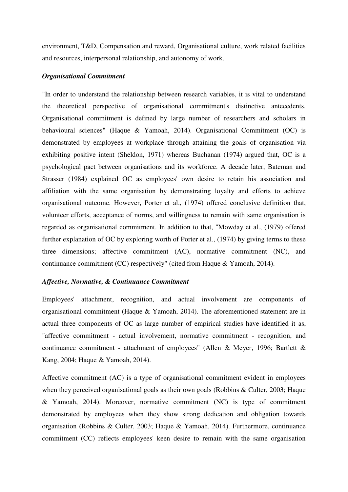environment, T&D, Compensation and reward, Organisational culture, work related facilities and resources, interpersonal relationship, and autonomy of work.

# *Organisational Commitment*

"In order to understand the relationship between research variables, it is vital to understand the theoretical perspective of organisational commitment's distinctive antecedents. Organisational commitment is defined by large number of researchers and scholars in behavioural sciences" (Haque & Yamoah, 2014). Organisational Commitment (OC) is demonstrated by employees at workplace through attaining the goals of organisation via exhibiting positive intent (Sheldon, 1971) whereas Buchanan (1974) argued that, OC is a psychological pact between organisations and its workforce. A decade later, Bateman and Strasser (1984) explained OC as employees' own desire to retain his association and affiliation with the same organisation by demonstrating loyalty and efforts to achieve organisational outcome. However, Porter et al., (1974) offered conclusive definition that, volunteer efforts, acceptance of norms, and willingness to remain with same organisation is regarded as organisational commitment. In addition to that, "Mowday et al., (1979) offered further explanation of OC by exploring worth of Porter et al., (1974) by giving terms to these three dimensions; affective commitment (AC), normative commitment (NC), and continuance commitment (CC) respectively" (cited from Haque & Yamoah, 2014).

#### *Affective, Normative, & Continuance Commitment*

Employees' attachment, recognition, and actual involvement are components of organisational commitment (Haque & Yamoah, 2014). The aforementioned statement are in actual three components of OC as large number of empirical studies have identified it as, "affective commitment - actual involvement, normative commitment - recognition, and continuance commitment - attachment of employees" (Allen & Meyer, 1996; Bartlett & Kang, 2004; Haque & Yamoah, 2014).

Affective commitment (AC) is a type of organisational commitment evident in employees when they perceived organisational goals as their own goals (Robbins & Culter, 2003; Haque & Yamoah, 2014). Moreover, normative commitment (NC) is type of commitment demonstrated by employees when they show strong dedication and obligation towards organisation (Robbins & Culter, 2003; Haque & Yamoah, 2014). Furthermore, continuance commitment (CC) reflects employees' keen desire to remain with the same organisation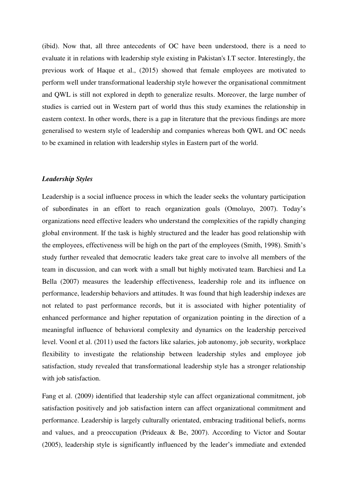(ibid). Now that, all three antecedents of OC have been understood, there is a need to evaluate it in relations with leadership style existing in Pakistan's I.T sector. Interestingly, the previous work of Haque et al., (2015) showed that female employees are motivated to perform well under transformational leadership style however the organisational commitment and QWL is still not explored in depth to generalize results. Moreover, the large number of studies is carried out in Western part of world thus this study examines the relationship in eastern context. In other words, there is a gap in literature that the previous findings are more generalised to western style of leadership and companies whereas both QWL and OC needs to be examined in relation with leadership styles in Eastern part of the world.

# *Leadership Styles*

Leadership is a social influence process in which the leader seeks the voluntary participation of subordinates in an effort to reach organization goals (Omolayo, 2007). Today's organizations need effective leaders who understand the complexities of the rapidly changing global environment. If the task is highly structured and the leader has good relationship with the employees, effectiveness will be high on the part of the employees (Smith, 1998). Smith's study further revealed that democratic leaders take great care to involve all members of the team in discussion, and can work with a small but highly motivated team. Barchiesi and La Bella (2007) measures the leadership effectiveness, leadership role and its influence on performance, leadership behaviors and attitudes. It was found that high leadership indexes are not related to past performance records, but it is associated with higher potentiality of enhanced performance and higher reputation of organization pointing in the direction of a meaningful influence of behavioral complexity and dynamics on the leadership perceived level. Voonl et al. (2011) used the factors like salaries, job autonomy, job security, workplace flexibility to investigate the relationship between leadership styles and employee job satisfaction, study revealed that transformational leadership style has a stronger relationship with job satisfaction.

Fang et al. (2009) identified that leadership style can affect organizational commitment, job satisfaction positively and job satisfaction intern can affect organizational commitment and performance. Leadership is largely culturally orientated, embracing traditional beliefs, norms and values, and a preoccupation (Prideaux & Be, 2007). According to Victor and Soutar (2005), leadership style is significantly influenced by the leader's immediate and extended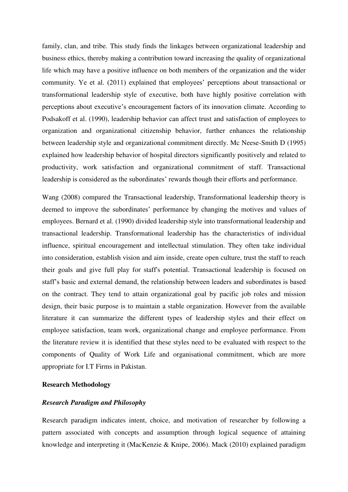family, clan, and tribe. This study finds the linkages between organizational leadership and business ethics, thereby making a contribution toward increasing the quality of organizational life which may have a positive influence on both members of the organization and the wider community. Ye et al. (2011) explained that employees' perceptions about transactional or transformational leadership style of executive, both have highly positive correlation with perceptions about executive's encouragement factors of its innovation climate. According to Podsakoff et al. (1990), leadership behavior can affect trust and satisfaction of employees to organization and organizational citizenship behavior, further enhances the relationship between leadership style and organizational commitment directly. Mc Neese-Smith D (1995) explained how leadership behavior of hospital directors significantly positively and related to productivity, work satisfaction and organizational commitment of staff. Transactional leadership is considered as the subordinates' rewards though their efforts and performance.

Wang (2008) compared the Transactional leadership, Transformational leadership theory is deemed to improve the subordinates' performance by changing the motives and values of employees. Bernard et al. (1990) divided leadership style into transformational leadership and transactional leadership. Transformational leadership has the characteristics of individual influence, spiritual encouragement and intellectual stimulation. They often take individual into consideration, establish vision and aim inside, create open culture, trust the staff to reach their goals and give full play for staff's potential. Transactional leadership is focused on staff's basic and external demand, the relationship between leaders and subordinates is based on the contract. They tend to attain organizational goal by pacific job roles and mission design, their basic purpose is to maintain a stable organization. However from the available literature it can summarize the different types of leadership styles and their effect on employee satisfaction, team work, organizational change and employee performance. From the literature review it is identified that these styles need to be evaluated with respect to the components of Quality of Work Life and organisational commitment, which are more appropriate for I.T Firms in Pakistan.

# **Research Methodology**

# *Research Paradigm and Philosophy*

Research paradigm indicates intent, choice, and motivation of researcher by following a pattern associated with concepts and assumption through logical sequence of attaining knowledge and interpreting it (MacKenzie & Knipe, 2006). Mack (2010) explained paradigm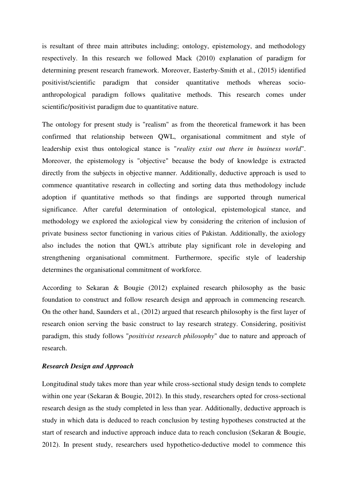is resultant of three main attributes including; ontology, epistemology, and methodology respectively. In this research we followed Mack (2010) explanation of paradigm for determining present research framework. Moreover, Easterby-Smith et al., (2015) identified positivist/scientific paradigm that consider quantitative methods whereas socioanthropological paradigm follows qualitative methods. This research comes under scientific/positivist paradigm due to quantitative nature.

The ontology for present study is "realism" as from the theoretical framework it has been confirmed that relationship between QWL, organisational commitment and style of leadership exist thus ontological stance is "*reality exist out there in business world*". Moreover, the epistemology is "objective" because the body of knowledge is extracted directly from the subjects in objective manner. Additionally, deductive approach is used to commence quantitative research in collecting and sorting data thus methodology include adoption if quantitative methods so that findings are supported through numerical significance. After careful determination of ontological, epistemological stance, and methodology we explored the axiological view by considering the criterion of inclusion of private business sector functioning in various cities of Pakistan. Additionally, the axiology also includes the notion that QWL's attribute play significant role in developing and strengthening organisational commitment. Furthermore, specific style of leadership determines the organisational commitment of workforce.

According to Sekaran & Bougie (2012) explained research philosophy as the basic foundation to construct and follow research design and approach in commencing research. On the other hand, Saunders et al., (2012) argued that research philosophy is the first layer of research onion serving the basic construct to lay research strategy. Considering, positivist paradigm, this study follows "*positivist research philosophy*" due to nature and approach of research.

# *Research Design and Approach*

Longitudinal study takes more than year while cross-sectional study design tends to complete within one year (Sekaran & Bougie, 2012). In this study, researchers opted for cross-sectional research design as the study completed in less than year. Additionally, deductive approach is study in which data is deduced to reach conclusion by testing hypotheses constructed at the start of research and inductive approach induce data to reach conclusion (Sekaran & Bougie, 2012). In present study, researchers used hypothetico-deductive model to commence this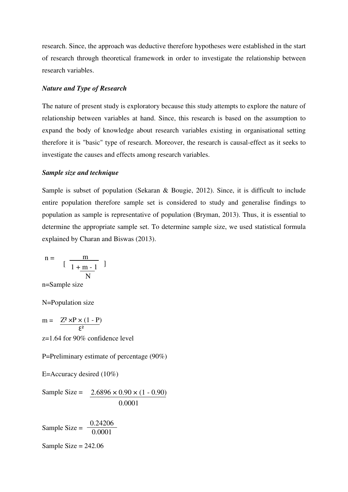research. Since, the approach was deductive therefore hypotheses were established in the start of research through theoretical framework in order to investigate the relationship between research variables.

# *Nature and Type of Research*

The nature of present study is exploratory because this study attempts to explore the nature of relationship between variables at hand. Since, this research is based on the assumption to expand the body of knowledge about research variables existing in organisational setting therefore it is "basic" type of research. Moreover, the research is causal-effect as it seeks to investigate the causes and effects among research variables.

## *Sample size and technique*

Sample is subset of population (Sekaran & Bougie, 2012). Since, it is difficult to include entire population therefore sample set is considered to study and generalise findings to population as sample is representative of population (Bryman, 2013). Thus, it is essential to determine the appropriate sample set. To determine sample size, we used statistical formula explained by Charan and Biswas (2013).

$$
n = \frac{m}{\left[\frac{m}{1 + \underline{m} - 1}\right]} \quad \text{]}
$$

n=Sample size

N=Population size

 $m = Z^2 \times P \times (1 - P)$ z=1.64 for 90% confidence level  $\varepsilon$ <sup>2</sup>

P=Preliminary estimate of percentage (90%)

E=Accuracy desired (10%)

Sample Size =  $2.6896 \times 0.90 \times (1 - 0.90)$  $0.0001$ 

Sample Size = 0.24206 0.0001

Sample Size  $= 242.06$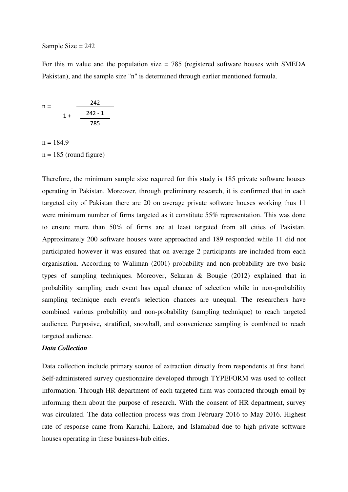#### Sample Size  $= 242$

For this m value and the population size  $= 785$  (registered software houses with SMEDA Pakistan), and the sample size "n" is determined through earlier mentioned formula.

n = 
$$
\begin{array}{c|c}\n & 242 \\
1 + \overline{\smash)242 - 1} \\
\hline\n785\n\end{array}
$$

 $n = 184.9$  $n = 185$  (round figure)

Therefore, the minimum sample size required for this study is 185 private software houses operating in Pakistan. Moreover, through preliminary research, it is confirmed that in each targeted city of Pakistan there are 20 on average private software houses working thus 11 were minimum number of firms targeted as it constitute 55% representation. This was done to ensure more than 50% of firms are at least targeted from all cities of Pakistan. Approximately 200 software houses were approached and 189 responded while 11 did not participated however it was ensured that on average 2 participants are included from each organisation. According to Waliman (2001) probability and non-probability are two basic types of sampling techniques. Moreover, Sekaran & Bougie (2012) explained that in probability sampling each event has equal chance of selection while in non-probability sampling technique each event's selection chances are unequal. The researchers have combined various probability and non-probability (sampling technique) to reach targeted audience. Purposive, stratified, snowball, and convenience sampling is combined to reach targeted audience.

# *Data Collection*

Data collection include primary source of extraction directly from respondents at first hand. Self-administered survey questionnaire developed through TYPEFORM was used to collect information. Through HR department of each targeted firm was contacted through email by informing them about the purpose of research. With the consent of HR department, survey was circulated. The data collection process was from February 2016 to May 2016. Highest rate of response came from Karachi, Lahore, and Islamabad due to high private software houses operating in these business-hub cities.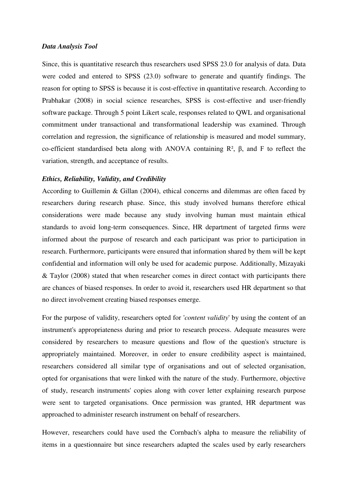## *Data Analysis Tool*

Since, this is quantitative research thus researchers used SPSS 23.0 for analysis of data. Data were coded and entered to SPSS (23.0) software to generate and quantify findings. The reason for opting to SPSS is because it is cost-effective in quantitative research. According to Prabhakar (2008) in social science researches, SPSS is cost-effective and user-friendly software package. Through 5 point Likert scale, responses related to QWL and organisational commitment under transactional and transformational leadership was examined. Through correlation and regression, the significance of relationship is measured and model summary, co-efficient standardised beta along with ANOVA containing R², β, and F to reflect the variation, strength, and acceptance of results.

#### *Ethics, Reliability, Validity, and Credibility*

According to Guillemin & Gillan (2004), ethical concerns and dilemmas are often faced by researchers during research phase. Since, this study involved humans therefore ethical considerations were made because any study involving human must maintain ethical standards to avoid long-term consequences. Since, HR department of targeted firms were informed about the purpose of research and each participant was prior to participation in research. Furthermore, participants were ensured that information shared by them will be kept confidential and information will only be used for academic purpose. Additionally, Mizayaki & Taylor (2008) stated that when researcher comes in direct contact with participants there are chances of biased responses. In order to avoid it, researchers used HR department so that no direct involvement creating biased responses emerge.

For the purpose of validity, researchers opted for '*content validity*' by using the content of an instrument's appropriateness during and prior to research process. Adequate measures were considered by researchers to measure questions and flow of the question's structure is appropriately maintained. Moreover, in order to ensure credibility aspect is maintained, researchers considered all similar type of organisations and out of selected organisation, opted for organisations that were linked with the nature of the study. Furthermore, objective of study, research instruments' copies along with cover letter explaining research purpose were sent to targeted organisations. Once permission was granted, HR department was approached to administer research instrument on behalf of researchers.

However, researchers could have used the Cornbach's alpha to measure the reliability of items in a questionnaire but since researchers adapted the scales used by early researchers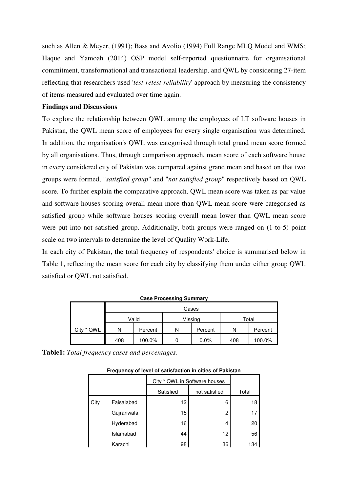such as Allen & Meyer, (1991); Bass and Avolio (1994) Full Range MLQ Model and WMS; Haque and Yamoah (2014) OSP model self-reported questionnaire for organisational commitment, transformational and transactional leadership, and QWL by considering 27-item reflecting that researchers used '*test-retest reliability*' approach by measuring the consistency of items measured and evaluated over time again.

# **Findings and Discussions**

To explore the relationship between QWL among the employees of I.T software houses in Pakistan, the QWL mean score of employees for every single organisation was determined. In addition, the organisation's QWL was categorised through total grand mean score formed by all organisations. Thus, through comparison approach, mean score of each software house in every considered city of Pakistan was compared against grand mean and based on that two groups were formed, "*satisfied group*" and "*not satisfied group*" respectively based on QWL score. To further explain the comparative approach, QWL mean score was taken as par value and software houses scoring overall mean more than QWL mean score were categorised as satisfied group while software houses scoring overall mean lower than QWL mean score were put into not satisfied group. Additionally, both groups were ranged on (1-to-5) point scale on two intervals to determine the level of Quality Work-Life.

In each city of Pakistan, the total frequency of respondents' choice is summarised below in Table 1, reflecting the mean score for each city by classifying them under either group QWL satisfied or QWL not satisfied.

| <b>Case Processing Summary</b> |                                             |                              |  |  |  |  |  |  |  |  |  |
|--------------------------------|---------------------------------------------|------------------------------|--|--|--|--|--|--|--|--|--|
|                                | Cases                                       |                              |  |  |  |  |  |  |  |  |  |
|                                |                                             | Missing<br>Valid<br>Total    |  |  |  |  |  |  |  |  |  |
| QWL                            | N                                           | N<br>Percent<br>Percent<br>N |  |  |  |  |  |  |  |  |  |
|                                | 408<br>100.0%<br>0.0%<br>100.0%<br>408<br>0 |                              |  |  |  |  |  |  |  |  |  |

**Table1:** *Total frequency cases and percentages.*

**Frequency of level of satisfaction in cities of Pakistan**

|      |            | City * QWL in Software houses |               |       |
|------|------------|-------------------------------|---------------|-------|
|      |            | Satisfied                     | not satisfied | Total |
| City | Faisalabad | 12                            | 6             | 18    |
|      | Gujranwala | 15                            | 2             | 17    |
|      | Hyderabad  | 16                            | 4             | 20    |
|      | Islamabad  | 44                            | 12            | 56    |
|      | Karachi    | 98                            | 36            | 134   |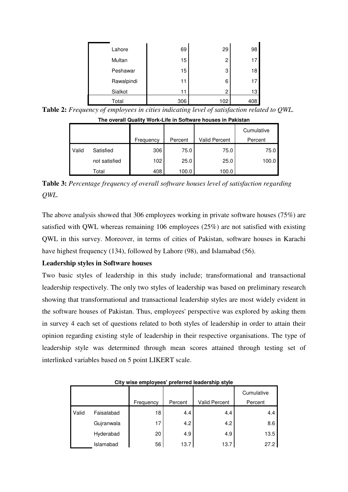| Lahore     | 69  | 29  | 98  |
|------------|-----|-----|-----|
| Multan     | 15  | 2   | 17  |
| Peshawar   | 15  | 3   | 18  |
| Rawalpindi | 11  | 6   | 17  |
| Sialkot    | 11  | 2   | 13  |
| Total      | 306 | 102 | 408 |

**Table 2:** *Frequency of employees in cities indicating level of satisfaction related to QWL.*

|       | The overall Quality Work-Life in Software houses in Pakistan |           |         |                      |            |  |  |  |  |  |
|-------|--------------------------------------------------------------|-----------|---------|----------------------|------------|--|--|--|--|--|
|       |                                                              |           |         |                      | Cumulative |  |  |  |  |  |
|       |                                                              | Frequency | Percent | <b>Valid Percent</b> | Percent    |  |  |  |  |  |
| Valid | Satisfied                                                    | 306       | 75.0    | 75.0                 | 75.0       |  |  |  |  |  |
|       | not satisfied                                                | 102       | 25.0    | 25.0                 | 100.0      |  |  |  |  |  |
|       | Total                                                        | 408       | 100.0   | 100.0                |            |  |  |  |  |  |

**Table 3:** *Percentage frequency of overall software houses level of satisfaction regarding QWL.*

The above analysis showed that 306 employees working in private software houses (75%) are satisfied with QWL whereas remaining 106 employees (25%) are not satisfied with existing QWL in this survey. Moreover, in terms of cities of Pakistan, software houses in Karachi have highest frequency (134), followed by Lahore (98), and Islamabad (56).

# **Leadership styles in Software houses**

Two basic styles of leadership in this study include; transformational and transactional leadership respectively. The only two styles of leadership was based on preliminary research showing that transformational and transactional leadership styles are most widely evident in the software houses of Pakistan. Thus, employees' perspective was explored by asking them in survey 4 each set of questions related to both styles of leadership in order to attain their opinion regarding existing style of leadership in their respective organisations. The type of leadership style was determined through mean scores attained through testing set of interlinked variables based on 5 point LIKERT scale.

|       |            |           |         |                      | Cumulative |
|-------|------------|-----------|---------|----------------------|------------|
|       |            | Frequency | Percent | <b>Valid Percent</b> | Percent    |
| Valid | Faisalabad | 18        | 4.4     | 4.4                  | 4.4        |
|       | Gujranwala | 17        | 4.2     | 4.2                  | 8.6        |
|       | Hyderabad  | 20        | 4.9     | 4.9                  | 13.5       |
|       | Islamabad  | 56        | 13.7    | 13.7                 | 27.2       |

**City wise employees' preferred leadership style**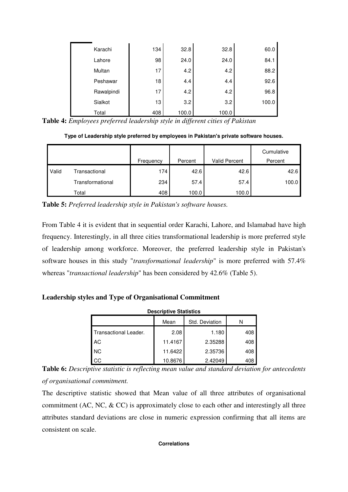| Karachi    | 134 | 32.8  | 32.8  | 60.0  |
|------------|-----|-------|-------|-------|
| Lahore     | 98  | 24.0  | 24.0  | 84.1  |
| Multan     | 17  | 4.2   | 4.2   | 88.2  |
| Peshawar   | 18  | 4.4   | 4.4   | 92.6  |
| Rawalpindi | 17  | 4.2   | 4.2   | 96.8  |
| Sialkot    | 13  | 3.2   | 3.2   | 100.0 |
| Total      | 408 | 100.0 | 100.0 |       |

**Table 4:** *Employees preferred leadership style in different cities of Pakistan*

**Type of Leadership style preferred by employees in Pakistan's private software houses.** 

|       |                  |           |         |                      | Cumulative |
|-------|------------------|-----------|---------|----------------------|------------|
|       |                  | Frequency | Percent | <b>Valid Percent</b> | Percent    |
| Valid | Transactional    | 174       | 42.6    | 42.6                 | 42.6       |
|       | Transformational | 234       | 57.4    | 57.4                 | 100.0      |
|       | Total            | 408       | 100.0   | 100.0                |            |

**Table 5:** *Preferred leadership style in Pakistan's software houses.*

From Table 4 it is evident that in sequential order Karachi, Lahore, and Islamabad have high frequency. Interestingly, in all three cities transformational leadership is more preferred style of leadership among workforce. Moreover, the preferred leadership style in Pakistan's software houses in this study "*transformational leadership*" is more preferred with 57.4% whereas "*transactional leadership*" has been considered by 42.6% (Table 5).

# **Leadership styles and Type of Organisational Commitment**

| <b>Descriptive Statistics</b> |         |         |     |  |  |  |  |  |  |
|-------------------------------|---------|---------|-----|--|--|--|--|--|--|
| Std. Deviation<br>Mean        |         |         |     |  |  |  |  |  |  |
| Transactional Leader.         | 2.08    | 1.180   | 408 |  |  |  |  |  |  |
| AC                            | 11.4167 | 2.35288 | 408 |  |  |  |  |  |  |
| <b>NC</b>                     | 11.6422 | 2.35736 | 408 |  |  |  |  |  |  |
| CC                            | 10.8676 | 2.42049 | 408 |  |  |  |  |  |  |

**Table 6:** *Descriptive statistic is reflecting mean value and standard deviation for antecedents of organisational commitment.*

The descriptive statistic showed that Mean value of all three attributes of organisational commitment (AC, NC, & CC) is approximately close to each other and interestingly all three attributes standard deviations are close in numeric expression confirming that all items are consistent on scale.

## **Correlations**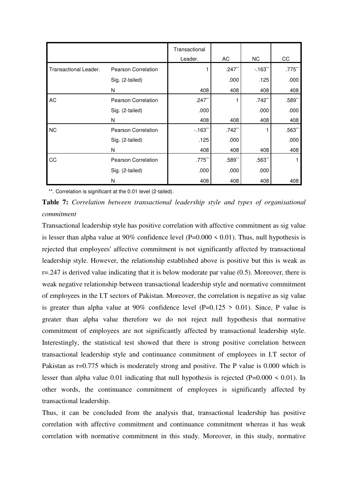|                       |                     | Transactional |           |           |           |
|-----------------------|---------------------|---------------|-----------|-----------|-----------|
|                       |                     | Leader.       | AC        | <b>NC</b> | CC        |
| Transactional Leader. | Pearson Correlation |               | .247**    | $-163"$   | .775      |
|                       | Sig. (2-tailed)     |               | .000      | .125      | .000      |
|                       | N                   | 408           | 408       | 408       | 408       |
| AC                    | Pearson Correlation | $.247**$      |           | $.742$ ** | .589**    |
|                       | Sig. (2-tailed)     | .000          |           | .000      | .000      |
|                       | N                   | 408           | 408       | 408       | 408       |
| <b>NC</b>             | Pearson Correlation | $-163"$       | $.742$ ** |           | $.563$ ** |
|                       | Sig. (2-tailed)     | .125          | .000      |           | .000      |
|                       | N                   | 408           | 408       | 408       | 408       |
| CC                    | Pearson Correlation | .775          | $.589**$  | $.563$ ** |           |
|                       | Sig. (2-tailed)     | .000          | .000      | .000      |           |
|                       | N                   | 408           | 408       | 408       | 408       |

\*\*. Correlation is significant at the 0.01 level (2-tailed).

**Table 7:** *Correlation between transactional leadership style and types of organisational commitment*

Transactional leadership style has positive correlation with affective commitment as sig value is lesser than alpha value at 90% confidence level (P=0.000  $\times$  0.01). Thus, null hypothesis is rejected that employees' affective commitment is not significantly affected by transactional leadership style. However, the relationship established above is positive but this is weak as  $r = 0.247$  is derived value indicating that it is below moderate par value (0.5). Moreover, there is weak negative relationship between transactional leadership style and normative commitment of employees in the I.T sectors of Pakistan. Moreover, the correlation is negative as sig value is greater than alpha value at 90% confidence level (P=0.125  $>$  0.01). Since, P value is greater than alpha value therefore we do not reject null hypothesis that normative commitment of employees are not significantly affected by transactional leadership style. Interestingly, the statistical test showed that there is strong positive correlation between transactional leadership style and continuance commitment of employees in I.T sector of Pakistan as  $r=0.775$  which is moderately strong and positive. The P value is 0.000 which is lesser than alpha value 0.01 indicating that null hypothesis is rejected ( $P=0.000 \le 0.01$ ). In other words, the continuance commitment of employees is significantly affected by transactional leadership.

Thus, it can be concluded from the analysis that, transactional leadership has positive correlation with affective commitment and continuance commitment whereas it has weak correlation with normative commitment in this study. Moreover, in this study, normative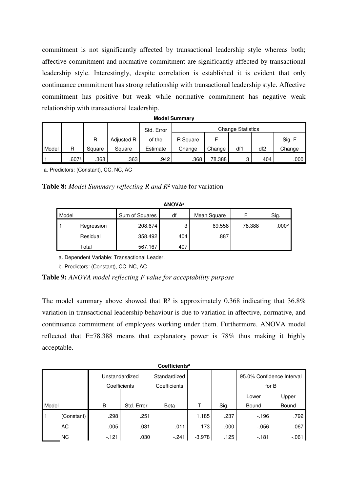commitment is not significantly affected by transactional leadership style whereas both; affective commitment and normative commitment are significantly affected by transactional leadership style. Interestingly, despite correlation is established it is evident that only continuance commitment has strong relationship with transactional leadership style. Affective commitment has positive but weak while normative commitment has negative weak relationship with transactional leadership.

|                                        | <b>Model Summary</b>                                                |        |            |          |                    |        |     |                 |        |  |  |  |
|----------------------------------------|---------------------------------------------------------------------|--------|------------|----------|--------------------|--------|-----|-----------------|--------|--|--|--|
| <b>Change Statistics</b><br>Std. Error |                                                                     |        |            |          |                    |        |     |                 |        |  |  |  |
|                                        |                                                                     | R      | Adjusted R | of the   | Sig. F<br>R Square |        |     |                 |        |  |  |  |
| Model                                  | R                                                                   | Square | Square     | Estimate | Change             | Change | df1 | df <sub>2</sub> | Change |  |  |  |
|                                        | .368<br>.607ª<br>.363<br>78.388<br>.942<br>.368<br>3<br>.000<br>404 |        |            |          |                    |        |     |                 |        |  |  |  |

a. Predictors: (Constant), CC, NC, AC

# **Table 8:** *Model Summary reflecting R and R*² value for variation

|       | <b>ANOVA</b> <sup>a</sup> |                |        |             |        |                   |  |  |  |  |  |  |
|-------|---------------------------|----------------|--------|-------------|--------|-------------------|--|--|--|--|--|--|
| Model |                           | Sum of Squares | df     | Mean Square |        | Sig.              |  |  |  |  |  |  |
|       | Regression                | 208.674        | ≏<br>J | 69.558      | 78.388 | .000 <sup>b</sup> |  |  |  |  |  |  |
|       | Residual                  | 358.492        | 404    | .887        |        |                   |  |  |  |  |  |  |
|       | Total                     | 567.167        | 407    |             |        |                   |  |  |  |  |  |  |

a. Dependent Variable: Transactional Leader.

b. Predictors: (Constant), CC, NC, AC

# **Table 9:** *ANOVA model reflecting F value for acceptability purpose*

The model summary above showed that  $\mathbb{R}^2$  is approximately 0.368 indicating that 36.8% variation in transactional leadership behaviour is due to variation in affective, normative, and continuance commitment of employees working under them. Furthermore, ANOVA model reflected that F=78.388 means that explanatory power is 78% thus making it highly acceptable.

|                | <b>Coefficients<sup>a</sup></b> |              |              |              |                           |      |          |         |  |  |  |  |
|----------------|---------------------------------|--------------|--------------|--------------|---------------------------|------|----------|---------|--|--|--|--|
| Unstandardized |                                 | Standardized |              |              | 95.0% Confidence Interval |      |          |         |  |  |  |  |
|                |                                 |              | Coefficients | Coefficients |                           |      | for B    |         |  |  |  |  |
|                |                                 |              |              |              |                           |      | Lower    | Upper   |  |  |  |  |
| Model          |                                 | B            | Std. Error   | Beta         |                           | Sig. | Bound    | Bound   |  |  |  |  |
| $\mathbf 1$    | (Constant)                      | .298         | .251         |              | 1.185                     | .237 | $-196$   | .792    |  |  |  |  |
|                | AC                              | .005         | .031         | .011         | .173                      | .000 | $-0.056$ | .067    |  |  |  |  |
|                | <b>NC</b>                       | $-121$       | .030         | $-.241$      | $-3.978$                  | .125 | $-181$   | $-.061$ |  |  |  |  |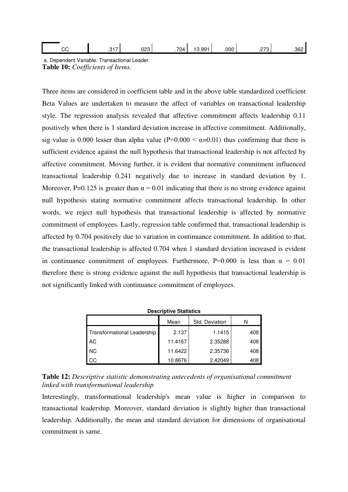| $\sqrt{2}$<br>UU | $\sim$<br>. ب | nnn<br>د∠∪. | 704<br>. . | .991 | .000 | $\sim$<br>$-1$ | .362 |
|------------------|---------------|-------------|------------|------|------|----------------|------|
|                  |               |             |            |      |      |                |      |

a. Dependent Variable: Transactional Leader. **Table 10:** *Coefficients of Items.* 

Three items are considered in coefficient table and in the above table standardized coefficient Beta Values are undertaken to measure the affect of variables on transactional leadership style. The regression analysis revealed that affective commitment affects leadership 0.11 positively when there is 1 standard deviation increase in affective commitment. Additionally, sig value is 0.000 lesser than alpha value ( $P=0.000 < \alpha = 0.01$ ) thus confirming that there is sufficient evidence against the null hypothesis that transactional leadership is not affected by affective commitment. Moving further, it is evident that normative commitment influenced transactional leadership 0.241 negatively due to increase in standard deviation by 1. Moreover, P=0.125 is greater than  $\alpha = 0.01$  indicating that there is no strong evidence against null hypothesis stating normative commitment affects transactional leadership. In other words, we reject null hypothesis that transactional leadership is affected by normative commitment of employees. Lastly, regression table confirmed that, transactional leadership is affected by 0.704 positively due to variation in continuance commitment. In addition to that, the transactional leadership is affected 0.704 when 1 standard deviation increased is evident in continuance commitment of employees. Furthermore, P=0.000 is less than  $\alpha = 0.01$ therefore there is strong evidence against the null hypothesis that transactional leadership is not significantly linked with continuance commitment of employees.

| <b>DESCRIPTIVE STATISTICS</b> |         |                |     |  |  |  |  |
|-------------------------------|---------|----------------|-----|--|--|--|--|
|                               | Mean    | Std. Deviation | N   |  |  |  |  |
| Transformational Leadership   | 2.137   | 1.1415         | 408 |  |  |  |  |
| AC                            | 11.4167 | 2.35288        | 408 |  |  |  |  |
| <b>NC</b>                     | 11.6422 | 2.35736        | 408 |  |  |  |  |
| CC                            | 10.8676 | 2.42049        | 408 |  |  |  |  |

**Descriptive Statistics**

| <b>Table 12:</b> Descriptive statistic demonstrating antecedents of organisational commitment |  |  |
|-----------------------------------------------------------------------------------------------|--|--|
| linked with transformational leadership                                                       |  |  |

Interestingly, transformational leadership's mean value is higher in comparison to transactional leadership. Moreover, standard deviation is slightly higher than transactional leadership. Additionally, the mean and standard deviation for dimensions of organisational commitment is same.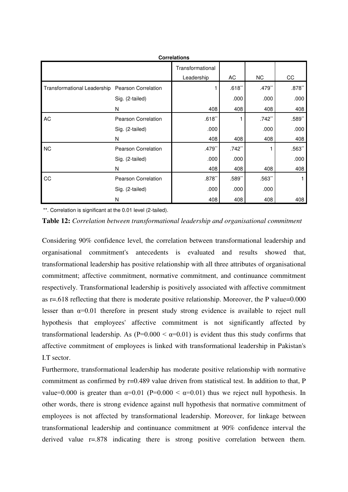|                                                 |                            | <b>Correlations</b> |           |           |           |
|-------------------------------------------------|----------------------------|---------------------|-----------|-----------|-----------|
|                                                 |                            | Transformational    |           |           |           |
|                                                 |                            | Leadership          | AC        | NC.       | CC        |
| Transformational Leadership Pearson Correlation |                            |                     | $.618**$  | $.479**$  | $.878$ ** |
|                                                 | Sig. (2-tailed)            |                     | .000      | .000      | .000      |
|                                                 | N                          | 408                 | 408       | 408       | 408       |
| AC                                              | <b>Pearson Correlation</b> | $.618**$            |           | $.742$ ** | .589**    |
|                                                 | Sig. (2-tailed)            | .000                |           | .000      | .000      |
|                                                 | N                          | 408                 | 408       | 408       | 408       |
| <b>NC</b>                                       | Pearson Correlation        | $.479**$            | $.742$ ** |           | $.563$ ** |
|                                                 | Sig. (2-tailed)            | .000                | .000      |           | .000      |
|                                                 | N                          | 408                 | 408       | 408       | 408       |
| CC                                              | <b>Pearson Correlation</b> | $.878**$            | $.589**$  | $.563$ ** |           |
|                                                 | Sig. (2-tailed)            | .000                | .000      | .000      |           |
|                                                 | N                          | 408                 | 408       | 408       | 408       |

\*\*. Correlation is significant at the 0.01 level (2-tailed).

**Table 12:** *Correlation between transformational leadership and organisational commitment*

Considering 90% confidence level, the correlation between transformational leadership and organisational commitment's antecedents is evaluated and results showed that, transformational leadership has positive relationship with all three attributes of organisational commitment; affective commitment, normative commitment, and continuance commitment respectively. Transformational leadership is positively associated with affective commitment as r=.618 reflecting that there is moderate positive relationship. Moreover, the P value=0.000 lesser than  $\alpha=0.01$  therefore in present study strong evidence is available to reject null hypothesis that employees' affective commitment is not significantly affected by transformational leadership. As  $(P=0.000 < \alpha=0.01)$  is evident thus this study confirms that affective commitment of employees is linked with transformational leadership in Pakistan's I.T sector.

Furthermore, transformational leadership has moderate positive relationship with normative commitment as confirmed by r=0.489 value driven from statistical test. In addition to that, P value=0.000 is greater than  $\alpha=0.01$  (P=0.000 <  $\alpha=0.01$ ) thus we reject null hypothesis. In other words, there is strong evidence against null hypothesis that normative commitment of employees is not affected by transformational leadership. Moreover, for linkage between transformational leadership and continuance commitment at 90% confidence interval the derived value r=.878 indicating there is strong positive correlation between them.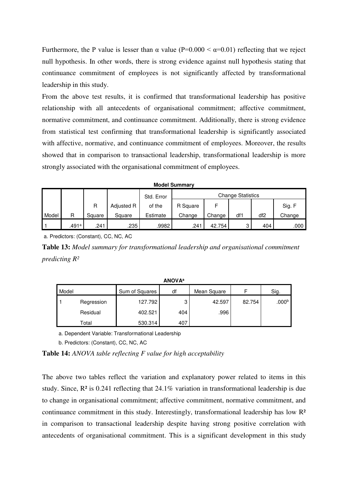Furthermore, the P value is lesser than  $\alpha$  value (P=0.000 <  $\alpha$ =0.01) reflecting that we reject null hypothesis. In other words, there is strong evidence against null hypothesis stating that continuance commitment of employees is not significantly affected by transformational leadership in this study.

From the above test results, it is confirmed that transformational leadership has positive relationship with all antecedents of organisational commitment; affective commitment, normative commitment, and continuance commitment. Additionally, there is strong evidence from statistical test confirming that transformational leadership is significantly associated with affective, normative, and continuance commitment of employees. Moreover, the results showed that in comparison to transactional leadership, transformational leadership is more strongly associated with the organisational commitment of employees.

|       |       |        |            | Std. Error | <b>Change Statistics</b> |        |     |                 |        |
|-------|-------|--------|------------|------------|--------------------------|--------|-----|-----------------|--------|
|       |       | R      | Adjusted R | of the     | R Square                 |        |     |                 | Sig. F |
| Model | R     | Square | Square     | Estimate   | Change                   | Change | df1 | df <sub>2</sub> | Change |
|       | .491a | .241   | .235       | .9982      | .241                     | 42.754 |     | 404             | .000   |

**Model Summary**

a. Predictors: (Constant), CC, NC, AC

**Table 13:** *Model summary for transformational leadership and organisational commitment predicting R²*

|       | <b>ANOVA</b> <sup>a</sup> |                |     |             |        |                   |  |  |  |  |
|-------|---------------------------|----------------|-----|-------------|--------|-------------------|--|--|--|--|
| Model |                           | Sum of Squares | df  | Mean Square |        | Sig.              |  |  |  |  |
|       | Regression                | 127.792        | ◠   | 42.597      | 82.754 | .000 <sup>b</sup> |  |  |  |  |
|       | Residual                  | 402.521        | 404 | .996        |        |                   |  |  |  |  |
|       | Total                     | 530.314        | 407 |             |        |                   |  |  |  |  |

**ANOVA<sup>a</sup>**

a. Dependent Variable: Transformational Leadership

b. Predictors: (Constant), CC, NC, AC

**Table 14:** *ANOVA table reflecting F value for high acceptability*

The above two tables reflect the variation and explanatory power related to items in this study. Since, R² is 0.241 reflecting that 24.1% variation in transformational leadership is due to change in organisational commitment; affective commitment, normative commitment, and continuance commitment in this study. Interestingly, transformational leadership has low R² in comparison to transactional leadership despite having strong positive correlation with antecedents of organisational commitment. This is a significant development in this study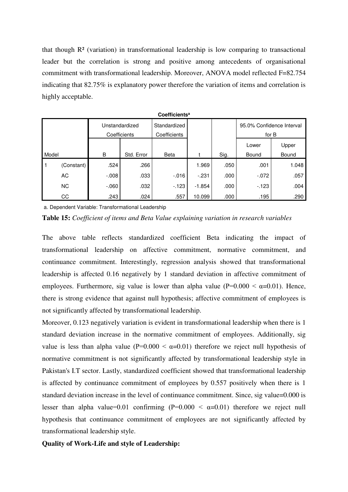that though  $\mathbb{R}^2$  (variation) in transformational leadership is low comparing to transactional leader but the correlation is strong and positive among antecedents of organisational commitment with transformational leadership. Moreover, ANOVA model reflected F=82.754 indicating that 82.75% is explanatory power therefore the variation of items and correlation is highly acceptable.

|       | <b>Coefficients<sup>a</sup></b> |                                |            |              |          |      |                           |       |  |  |  |
|-------|---------------------------------|--------------------------------|------------|--------------|----------|------|---------------------------|-------|--|--|--|
|       |                                 | Unstandardized<br>Coefficients |            | Standardized |          |      | 95.0% Confidence Interval |       |  |  |  |
|       |                                 |                                |            | Coefficients |          |      | for B                     |       |  |  |  |
|       |                                 |                                |            |              |          |      | Lower                     | Upper |  |  |  |
| Model |                                 | B                              | Std. Error | Beta         |          | Sig. | Bound                     | Bound |  |  |  |
| ∣ 1   | (Constant)                      | .524                           | .266       |              | 1.969    | .050 | .001                      | 1.048 |  |  |  |
|       | <b>AC</b>                       | $-0.008$                       | .033       | $-0.016$     | $-231$   | .000 | $-0.072$                  | .057  |  |  |  |
|       | <b>NC</b>                       | $-060$                         | .032       | $-123$       | $-1.854$ | .000 | $-123$                    | .004  |  |  |  |
|       | CC                              | .243                           | .024       | .557         | 10.099   | .000 | .195                      | .290  |  |  |  |

a. Dependent Variable: Transformational Leadership

**Table 15:** *Coefficient of items and Beta Value explaining variation in research variables*

The above table reflects standardized coefficient Beta indicating the impact of transformational leadership on affective commitment, normative commitment, and continuance commitment. Interestingly, regression analysis showed that transformational leadership is affected 0.16 negatively by 1 standard deviation in affective commitment of employees. Furthermore, sig value is lower than alpha value ( $P=0.000 < \alpha = 0.01$ ). Hence, there is strong evidence that against null hypothesis; affective commitment of employees is not significantly affected by transformational leadership.

Moreover, 0.123 negatively variation is evident in transformational leadership when there is 1 standard deviation increase in the normative commitment of employees. Additionally, sig value is less than alpha value ( $P=0.000 < \alpha = 0.01$ ) therefore we reject null hypothesis of normative commitment is not significantly affected by transformational leadership style in Pakistan's I.T sector. Lastly, standardized coefficient showed that transformational leadership is affected by continuance commitment of employees by 0.557 positively when there is 1 standard deviation increase in the level of continuance commitment. Since, sig value=0.000 is lesser than alpha value=0.01 confirming  $(P=0.000 < \alpha=0.01)$  therefore we reject null hypothesis that continuance commitment of employees are not significantly affected by transformational leadership style.

# **Quality of Work-Life and style of Leadership:**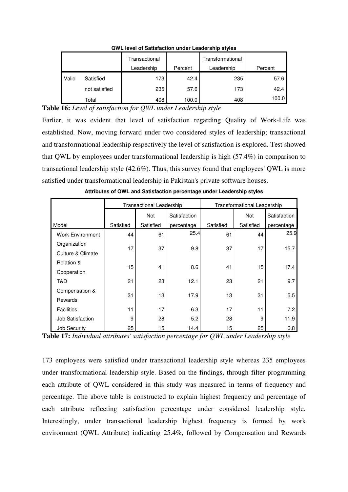|       |               | Transactional<br>Leadership | Percent | Transformational<br>Leadership | Percent |
|-------|---------------|-----------------------------|---------|--------------------------------|---------|
| Valid | Satisfied     | 173                         | 42.4    | 235                            | 57.6    |
|       | not satisfied | 235                         | 57.6    | 173                            | 42.4    |
|       | Total         | 408                         | 100.0   | 408                            | 100.0   |

**QWL level of Satisfaction under Leadership styles** 

**Table 16:** *Level of satisfaction for QWL under Leadership style*

Earlier, it was evident that level of satisfaction regarding Quality of Work-Life was established. Now, moving forward under two considered styles of leadership; transactional and transformational leadership respectively the level of satisfaction is explored. Test showed that QWL by employees under transformational leadership is high (57.4%) in comparison to transactional leadership style (42.6%). Thus, this survey found that employees' QWL is more satisfied under transformational leadership in Pakistan's private software houses.

|                         |           | <b>Transactional Leadership</b> |              |           | <b>Transformational Leadership</b> |              |  |  |
|-------------------------|-----------|---------------------------------|--------------|-----------|------------------------------------|--------------|--|--|
|                         |           | Not                             | Satisfaction |           | Not                                | Satisfaction |  |  |
| Model                   | Satisfied | Satisfied                       | percentage   | Satisfied | Satisfied                          | percentage   |  |  |
| <b>Work Environment</b> | 44        | 61                              | 25.4         | 61        | 44                                 | 25.9         |  |  |
| Organization            |           |                                 |              |           |                                    |              |  |  |
| Culture & Climate       | 17        | 37                              | 9.8          | 37        | 17                                 | 15.7         |  |  |
| <b>Relation &amp;</b>   |           | 41                              |              | 41        | 15                                 |              |  |  |
| Cooperation             | 15        |                                 | 8.6          |           |                                    | 17.4         |  |  |
| T&D                     | 21        | 23                              | 12.1         | 23        | 21                                 | 9.7          |  |  |
| Compensation &          | 31        | 13                              | 17.9         |           | 31                                 | 5.5          |  |  |
| Rewards                 |           |                                 |              | 13        |                                    |              |  |  |
| <b>Facilities</b>       | 11        | 17                              | 6.3          | 17        | 11                                 | 7.2          |  |  |
| <b>Job Satisfaction</b> | 9         | 28                              | 5.2          | 28        | 9                                  | 11.9         |  |  |
| Job Security            | 25        | 15                              | 14.4         | 15        | 25                                 | 6.8          |  |  |

**Attributes of QWL and Satisfaction percentage under Leadership styles**

**Table 17:** *Individual attributes' satisfaction percentage for QWL under Leadership style*

173 employees were satisfied under transactional leadership style whereas 235 employees under transformational leadership style. Based on the findings, through filter programming each attribute of QWL considered in this study was measured in terms of frequency and percentage. The above table is constructed to explain highest frequency and percentage of each attribute reflecting satisfaction percentage under considered leadership style. Interestingly, under transactional leadership highest frequency is formed by work environment (QWL Attribute) indicating 25.4%, followed by Compensation and Rewards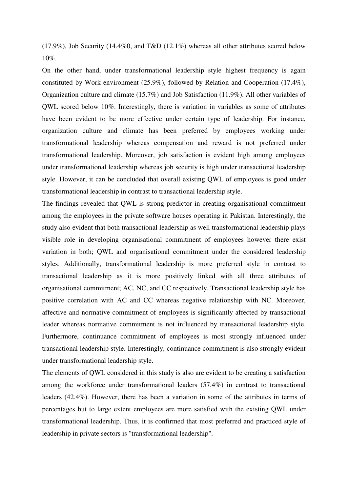(17.9%), Job Security (14.4%0, and T&D (12.1%) whereas all other attributes scored below 10%.

On the other hand, under transformational leadership style highest frequency is again constituted by Work environment (25.9%), followed by Relation and Cooperation (17.4%), Organization culture and climate (15.7%) and Job Satisfaction (11.9%). All other variables of QWL scored below 10%. Interestingly, there is variation in variables as some of attributes have been evident to be more effective under certain type of leadership. For instance, organization culture and climate has been preferred by employees working under transformational leadership whereas compensation and reward is not preferred under transformational leadership. Moreover, job satisfaction is evident high among employees under transformational leadership whereas job security is high under transactional leadership style. However, it can be concluded that overall existing QWL of employees is good under transformational leadership in contrast to transactional leadership style.

The findings revealed that QWL is strong predictor in creating organisational commitment among the employees in the private software houses operating in Pakistan. Interestingly, the study also evident that both transactional leadership as well transformational leadership plays visible role in developing organisational commitment of employees however there exist variation in both; QWL and organisational commitment under the considered leadership styles. Additionally, transformational leadership is more preferred style in contrast to transactional leadership as it is more positively linked with all three attributes of organisational commitment; AC, NC, and CC respectively. Transactional leadership style has positive correlation with AC and CC whereas negative relationship with NC. Moreover, affective and normative commitment of employees is significantly affected by transactional leader whereas normative commitment is not influenced by transactional leadership style. Furthermore, continuance commitment of employees is most strongly influenced under transactional leadership style. Interestingly, continuance commitment is also strongly evident under transformational leadership style.

The elements of QWL considered in this study is also are evident to be creating a satisfaction among the workforce under transformational leaders (57.4%) in contrast to transactional leaders (42.4%). However, there has been a variation in some of the attributes in terms of percentages but to large extent employees are more satisfied with the existing QWL under transformational leadership. Thus, it is confirmed that most preferred and practiced style of leadership in private sectors is "transformational leadership".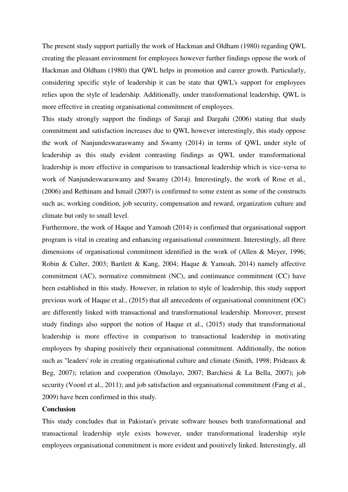The present study support partially the work of Hackman and Oldham (1980) regarding QWL creating the pleasant environment for employees however further findings oppose the work of Hackman and Oldham (1980) that QWL helps in promotion and career growth. Particularly, considering specific style of leadership it can be state that QWL's support for employees relies upon the style of leadership. Additionally, under transformational leadership, QWL is more effective in creating organisational commitment of employees.

This study strongly support the findings of Saraji and Dargahi (2006) stating that study commitment and satisfaction increases due to QWL however interestingly, this study oppose the work of Nanjundeswaraswamy and Swamy (2014) in terms of QWL under style of leadership as this study evident contrasting findings as QWL under transformational leadership is more effective in comparison to transactional leadership which is vice-versa to work of Nanjundeswaraswamy and Swamy (2014). Interestingly, the work of Rose et al., (2006) and Rethinam and Ismail (2007) is confirmed to some extent as some of the constructs such as; working condition, job security, compensation and reward, organization culture and climate but only to small level.

Furthermore, the work of Haque and Yamoah (2014) is confirmed that organisational support program is vital in creating and enhancing organisational commitment. Interestingly, all three dimensions of organisational commitment identified in the work of (Allen & Meyer, 1996; Robin & Culter, 2003; Bartlett & Kang, 2004; Haque & Yamoah, 2014) namely affective commitment (AC), normative commitment (NC), and continuance commitment (CC) have been established in this study. However, in relation to style of leadership, this study support previous work of Haque et al., (2015) that all antecedents of organisational commitment (OC) are differently linked with transactional and transformational leadership. Moreover, present study findings also support the notion of Haque et al., (2015) study that transformational leadership is more effective in comparison to transactional leadership in motivating employees by shaping positively their organisational commitment. Additionally, the notion such as "leaders' role in creating organisational culture and climate (Smith, 1998; Prideaux & Beg, 2007); relation and cooperation (Omolayo, 2007; Barchiesi & La Bella, 2007); job security (Voonl et al., 2011); and job satisfaction and organisational commitment (Fang et al., 2009) have been confirmed in this study.

#### **Conclusion**

This study concludes that in Pakistan's private software houses both transformational and transactional leadership style exists however, under transformational leadership style employees organisational commitment is more evident and positively linked. Interestingly, all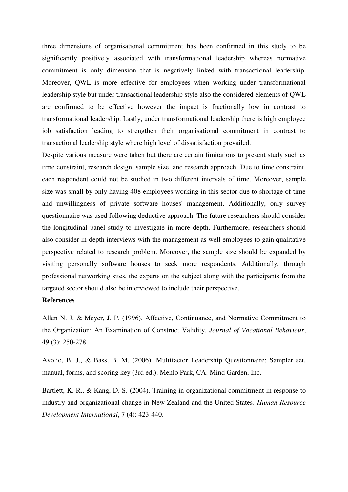three dimensions of organisational commitment has been confirmed in this study to be significantly positively associated with transformational leadership whereas normative commitment is only dimension that is negatively linked with transactional leadership. Moreover, QWL is more effective for employees when working under transformational leadership style but under transactional leadership style also the considered elements of QWL are confirmed to be effective however the impact is fractionally low in contrast to transformational leadership. Lastly, under transformational leadership there is high employee job satisfaction leading to strengthen their organisational commitment in contrast to transactional leadership style where high level of dissatisfaction prevailed.

Despite various measure were taken but there are certain limitations to present study such as time constraint, research design, sample size, and research approach. Due to time constraint, each respondent could not be studied in two different intervals of time. Moreover, sample size was small by only having 408 employees working in this sector due to shortage of time and unwillingness of private software houses' management. Additionally, only survey questionnaire was used following deductive approach. The future researchers should consider the longitudinal panel study to investigate in more depth. Furthermore, researchers should also consider in-depth interviews with the management as well employees to gain qualitative perspective related to research problem. Moreover, the sample size should be expanded by visiting personally software houses to seek more respondents. Additionally, through professional networking sites, the experts on the subject along with the participants from the targeted sector should also be interviewed to include their perspective.

# **References**

Allen N. J, & Meyer, J. P. (1996). Affective, Continuance, and Normative Commitment to the Organization: An Examination of Construct Validity. *Journal of Vocational Behaviour*, 49 (3): 250-278.

Avolio, B. J., & Bass, B. M. (2006). Multifactor Leadership Questionnaire: Sampler set, manual, forms, and scoring key (3rd ed.). Menlo Park, CA: Mind Garden, Inc.

Bartlett, K. R., & Kang, D. S. (2004). Training in organizational commitment in response to industry and organizational change in New Zealand and the United States. *Human Resource Development International*, 7 (4): 423-440.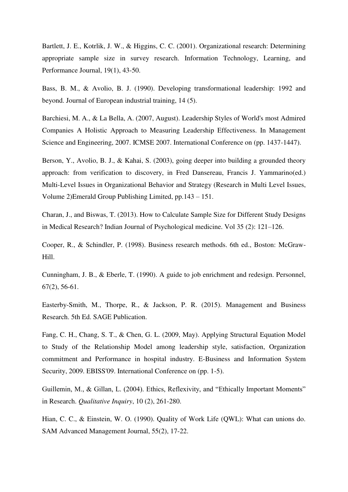Bartlett, J. E., Kotrlik, J. W., & Higgins, C. C. (2001). Organizational research: Determining appropriate sample size in survey research. Information Technology, Learning, and Performance Journal, 19(1), 43-50.

Bass, B. M., & Avolio, B. J. (1990). Developing transformational leadership: 1992 and beyond. Journal of European industrial training, 14 (5).

Barchiesi, M. A., & La Bella, A. (2007, August). Leadership Styles of World's most Admired Companies A Holistic Approach to Measuring Leadership Effectiveness. In Management Science and Engineering, 2007. ICMSE 2007. International Conference on (pp. 1437-1447).

Berson, Y., Avolio, B. J., & Kahai, S. (2003), going deeper into building a grounded theory approach: from verification to discovery, in Fred Dansereau, Francis J. Yammarino(ed.) Multi-Level Issues in Organizational Behavior and Strategy (Research in Multi Level Issues, Volume 2)Emerald Group Publishing Limited, pp.143 – 151.

Charan, J., and Biswas, T. (2013). How to Calculate Sample Size for Different Study Designs in Medical Research? Indian Journal of Psychological medicine. Vol 35 (2): 121–126.

Cooper, R., & Schindler, P. (1998). Business research methods. 6th ed., Boston: McGraw-Hill.

Cunningham, J. B., & Eberle, T. (1990). A guide to job enrichment and redesign. Personnel, 67(2), 56-61.

Easterby-Smith, M., Thorpe, R., & Jackson, P. R. (2015). Management and Business Research. 5th Ed. SAGE Publication.

Fang, C. H., Chang, S. T., & Chen, G. L. (2009, May). Applying Structural Equation Model to Study of the Relationship Model among leadership style, satisfaction, Organization commitment and Performance in hospital industry. E-Business and Information System Security, 2009. EBISS'09. International Conference on (pp. 1-5).

Guillemin, M., & Gillan, L. (2004). Ethics, Reflexivity, and "Ethically Important Moments" in Research. *Qualitative Inquiry*, 10 (2), 261-280.

Hian, C. C., & Einstein, W. O. (1990). Quality of Work Life (QWL): What can unions do. SAM Advanced Management Journal, 55(2), 17-22.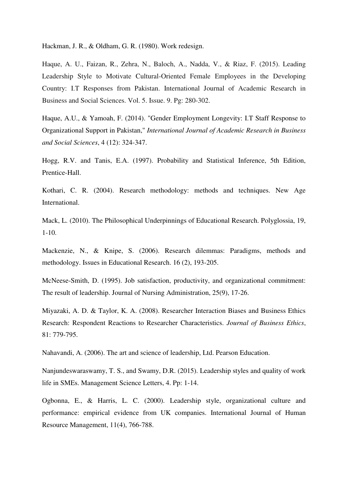Hackman, J. R., & Oldham, G. R. (1980). Work redesign.

Haque, A. U., Faizan, R., Zehra, N., Baloch, A., Nadda, V., & Riaz, F. (2015). Leading Leadership Style to Motivate Cultural-Oriented Female Employees in the Developing Country: I.T Responses from Pakistan. International Journal of Academic Research in Business and Social Sciences. Vol. 5. Issue. 9. Pg: 280-302.

Haque, A.U., & Yamoah, F. (2014). "Gender Employment Longevity: I.T Staff Response to Organizational Support in Pakistan," *International Journal of Academic Research in Business and Social Sciences*, 4 (12): 324-347.

Hogg, R.V. and Tanis, E.A. (1997). Probability and Statistical Inference, 5th Edition, Prentice-Hall.

Kothari, C. R. (2004). Research methodology: methods and techniques. New Age International.

Mack, L. (2010). The Philosophical Underpinnings of Educational Research. Polyglossia, 19,  $1-10.$ 

Mackenzie, N., & Knipe, S. (2006). Research dilemmas: Paradigms, methods and methodology. Issues in Educational Research. 16 (2), 193-205.

McNeese-Smith, D. (1995). Job satisfaction, productivity, and organizational commitment: The result of leadership. Journal of Nursing Administration, 25(9), 17-26.

Miyazaki, A. D. & Taylor, K. A. (2008). Researcher Interaction Biases and Business Ethics Research: Respondent Reactions to Researcher Characteristics. *Journal of Business Ethics*, 81: 779-795.

Nahavandi, A. (2006). The art and science of leadership, Ltd. Pearson Education.

Nanjundeswaraswamy, T. S., and Swamy, D.R. (2015). Leadership styles and quality of work life in SMEs. Management Science Letters, 4. Pp: 1-14.

Ogbonna, E., & Harris, L. C. (2000). Leadership style, organizational culture and performance: empirical evidence from UK companies. International Journal of Human Resource Management, 11(4), 766-788.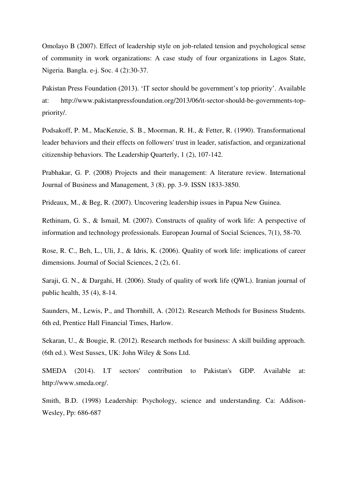Omolayo B (2007). Effect of leadership style on job-related tension and psychological sense of community in work organizations: A case study of four organizations in Lagos State, Nigeria. Bangla. e-j. Soc. 4 (2):30-37.

Pakistan Press Foundation (2013). 'IT sector should be government's top priority'. Available at: http://www.pakistanpressfoundation.org/2013/06/it-sector-should-be-governments-toppriority/.

Podsakoff, P. M., MacKenzie, S. B., Moorman, R. H., & Fetter, R. (1990). Transformational leader behaviors and their effects on followers' trust in leader, satisfaction, and organizational citizenship behaviors. The Leadership Quarterly, 1 (2), 107-142.

Prabhakar, G. P. (2008) Projects and their management: A literature review. International Journal of Business and Management, 3 (8). pp. 3-9. ISSN 1833-3850.

Prideaux, M., & Beg, R. (2007). Uncovering leadership issues in Papua New Guinea.

Rethinam, G. S., & Ismail, M. (2007). Constructs of quality of work life: A perspective of information and technology professionals. European Journal of Social Sciences, 7(1), 58-70.

Rose, R. C., Beh, L., Uli, J., & Idris, K. (2006). Quality of work life: implications of career dimensions. Journal of Social Sciences, 2 (2), 61.

Saraji, G. N., & Dargahi, H. (2006). Study of quality of work life (QWL). Iranian journal of public health, 35 (4), 8-14.

Saunders, M., Lewis, P., and Thornhill, A. (2012). Research Methods for Business Students. 6th ed, Prentice Hall Financial Times, Harlow.

Sekaran, U., & Bougie, R. (2012). Research methods for business: A skill building approach. (6th ed.). West Sussex, UK: John Wiley & Sons Ltd.

SMEDA (2014). I.T sectors' contribution to Pakistan's GDP. Available at: http://www.smeda.org/.

Smith, B.D. (1998) Leadership: Psychology, science and understanding. Ca: Addison-Wesley, Pp: 686-687